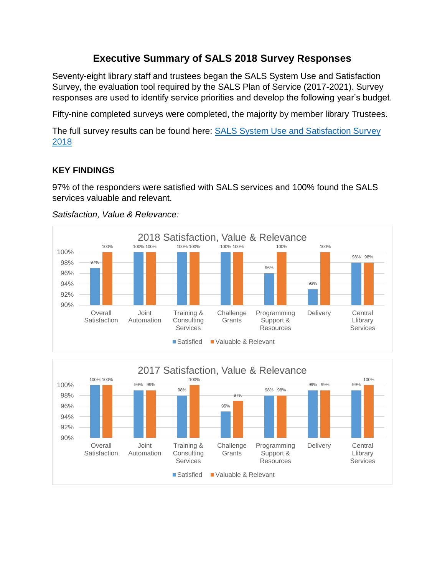# **Executive Summary of SALS 2018 Survey Responses**

Seventy-eight library staff and trustees began the SALS System Use and Satisfaction Survey, the evaluation tool required by the SALS Plan of Service (2017-2021). Survey responses are used to identify service priorities and develop the following year's budget.

Fifty-nine completed surveys were completed, the majority by member library Trustees.

The full survey results can be found here: **SALS System Use and Satisfaction Survey** [2018](https://www.surveymonkey.com/results/SM-LFQR78ZK7/)

# **KEY FINDINGS**

97% of the responders were satisfied with SALS services and 100% found the SALS services valuable and relevant.



#### *Satisfaction, Value & Relevance:*

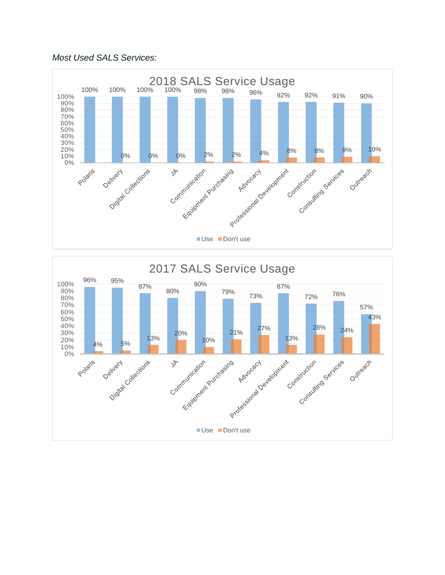### *Most Used SALS Services:*